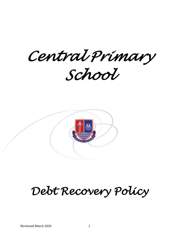*Central Primary School* 



# *Debt Recovery Policy*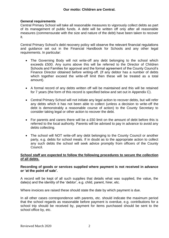# **General requirements**

Central Primary School will take all reasonable measures to vigorously collect debts as part of its management of public funds. A debt will be written off only after all reasonable measures (commensurate with the size and nature of the debt) have been taken to recover it.

Central Primary School's debt recovery policy will observe the relevant financial regulations and guidance set out in the Financial Handbook for Schools and any other legal requirements. In particular:

- The Governing Body will not write-off any debt belonging to the school which exceeds £500. Any sums above this will be referred to the Director of Children Schools and Families for approval and the formal agreement of the County Council's Finance Director obtained before writing-off. (If any debtor has a number of debts which together exceed the write-off limit then these will be treated as a total amount).
- A formal record of any debts written off will be maintained and this will be retained for 7 years (the form of this record is specified below and set out in Appendix C).
- Central Primary School will not initiate any legal action to recover debts, but will refer any debts which it has not been able to collect (unless a decision to write-off the debt is demonstrably a reasonable course of action) to the County Secretary to consider taking legal or other action to recover the debt.
- For parents and carers there will be a £50 limit on the amount of debt before this is referred to the local authority. Parents will be advised to pay in advance to avoid any debts collecting.
- The school will NOT write-off any debt belonging to the County Council or another party, e.g. debts for school meals. If in doubt as to the appropriate action to collect any such debts the school will seek advice promptly from officers of the County Council.

# **School staff are expected to follow the following procedures to secure the collection of all debts.**

# **Recording of goods or services supplied where payment is not received in advance or 'at the point of sale'.**

A record will be kept of all such supplies that details what was supplied, the value, the date(s) and the identity of the 'debtor', e.g. child, parent, hirer, etc.

Where invoices are raised these should state the date by which payment is due.

In all other cases correspondence with parents, etc. should indicate the maximum period that the school regards as reasonable before payment is overdue, e.g. contributions for a school trip should be received by, payment for items purchased should be sent to the school office by, etc.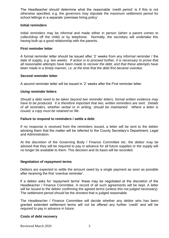The Headteacher should determine what the reasonable 'credit period' is if this is not otherwise specified, e.g. the governors may stipulate the maximum settlement period for school lettings in a separate 'premises hiring policy'.

# **Initial reminders**

Initial reminders may be informal and made either in person (when a parent comes to collect/drop off the child) or by telephone. Normally, the secretary will undertake this having built up a good relationship with the parents.

# **First reminder letter**

A formal reminder letter should be issued after '2' weeks from any informal reminder / the date of supply, *e.g. two weeks*. *If action is to proceed further, it is necessary to prove that all reasonable attempts have been made to recover the debt, and that these attempts have been made in a timely manner, i.e. at the time that the debt first became overdue*.

# **Second reminder letter**

A second reminder letter will be issued in '2' weeks after the First reminder letter.

# *Using reminder letters*

*Should a debt need to be taken beyond two reminder letters, formal written evidence may have to be produced. It is therefore important that two, written reminders are sent. Details of all reminders, whether verbal or in writing, should be maintained. Where a letter is issued, a copy must be retained on file*.

#### **Failure to respond to reminders / settle a debt**

If no response is received from the reminders issued, a letter will be sent to the debtor advising them that the matter will be referred to the County Secretary's Department, Legal and Administration.

At the discretion of the Governing Body / Finance Committee etc. the debtor may be advised that they will be required to pay in advance for all future supplies or the supply will no longer be available to them. This decision and its basis will be recorded.

#### **Negotiation of repayment terms**

Debtors are expected to settle the amount owed by a single payment as soon as possible after receiving the first 'overdue reminder'.

If a debtor asks for 'repayment terms' these may be negotiated at the discretion of the Headteacher / Finance Committee. A record of all such agreements will be kept. A letter will be issued to the debtor confirming the agreed terms (unless this not judged necessary). The settlement period should be the shortest that is judged reasonable.

The Headteacher / Finance Committee will decide whether any debtor who has been granted extended settlement terms will not be offered any further 'credit' and will be required to pay in advance in future.

#### **Costs of debt recovery**

Reviewed March 2020 3